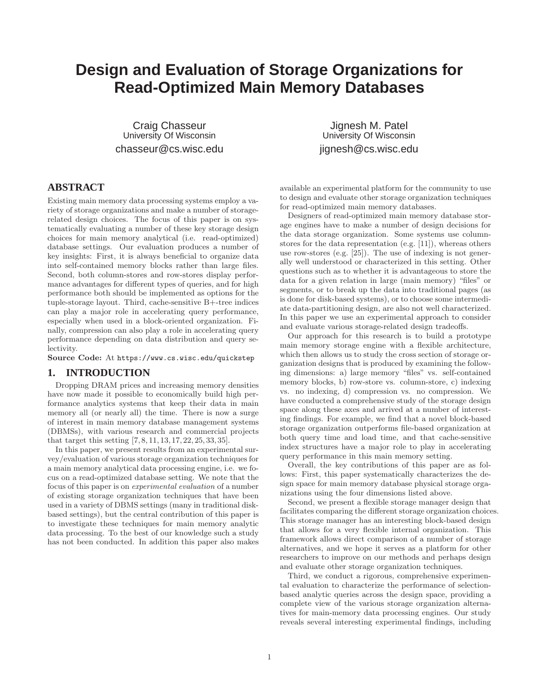# **Design and Evaluation of Storage Organizations for Read-Optimized Main Memory Databases**

Craig Chasseur University Of Wisconsin chasseur@cs.wisc.edu

# **ABSTRACT**

Existing main memory data processing systems employ a variety of storage organizations and make a number of storagerelated design choices. The focus of this paper is on systematically evaluating a number of these key storage design choices for main memory analytical (i.e. read-optimized) database settings. Our evaluation produces a number of key insights: First, it is always beneficial to organize data into self-contained memory blocks rather than large files. Second, both column-stores and row-stores display performance advantages for different types of queries, and for high performance both should be implemented as options for the tuple-storage layout. Third, cache-sensitive B+-tree indices can play a major role in accelerating query performance, especially when used in a block-oriented organization. Finally, compression can also play a role in accelerating query performance depending on data distribution and query selectivity.

Source Code: At https://www.cs.wisc.edu/quickstep

# **1. INTRODUCTION**

Dropping DRAM prices and increasing memory densities have now made it possible to economically build high performance analytics systems that keep their data in main memory all (or nearly all) the time. There is now a surge of interest in main memory database management systems (DBMSs), with various research and commercial projects that target this setting [7, 8, 11, 13, 17, 22, 25, 33, 35].

In this paper, we present results from an experimental survey/evaluation of various storage organization techniques for a main memory analytical data processing engine, i.e. we focus on a read-optimized database setting. We note that the focus of this paper is on experimental evaluation of a number of existing storage organization techniques that have been used in a variety of DBMS settings (many in traditional diskbased settings), but the central contribution of this paper is to investigate these techniques for main memory analytic data processing. To the best of our knowledge such a study has not been conducted. In addition this paper also makes

Jignesh M. Patel University Of Wisconsin jignesh@cs.wisc.edu

available an experimental platform for the community to use to design and evaluate other storage organization techniques for read-optimized main memory databases.

Designers of read-optimized main memory database storage engines have to make a number of design decisions for the data storage organization. Some systems use columnstores for the data representation (e.g. [11]), whereas others use row-stores (e.g. [25]). The use of indexing is not generally well understood or characterized in this setting. Other questions such as to whether it is advantageous to store the data for a given relation in large (main memory) "files" or segments, or to break up the data into traditional pages (as is done for disk-based systems), or to choose some intermediate data-partitioning design, are also not well characterized. In this paper we use an experimental approach to consider and evaluate various storage-related design tradeoffs.

Our approach for this research is to build a prototype main memory storage engine with a flexible architecture, which then allows us to study the cross section of storage organization designs that is produced by examining the following dimensions: a) large memory "files" vs. self-contained memory blocks, b) row-store vs. column-store, c) indexing vs. no indexing, d) compression vs. no compression. We have conducted a comprehensive study of the storage design space along these axes and arrived at a number of interesting findings. For example, we find that a novel block-based storage organization outperforms file-based organization at both query time and load time, and that cache-sensitive index structures have a major role to play in accelerating query performance in this main memory setting.

Overall, the key contributions of this paper are as follows: First, this paper systematically characterizes the design space for main memory database physical storage organizations using the four dimensions listed above.

Second, we present a flexible storage manager design that facilitates comparing the different storage organization choices. This storage manager has an interesting block-based design that allows for a very flexible internal organization. This framework allows direct comparison of a number of storage alternatives, and we hope it serves as a platform for other researchers to improve on our methods and perhaps design and evaluate other storage organization techniques.

Third, we conduct a rigorous, comprehensive experimental evaluation to characterize the performance of selectionbased analytic queries across the design space, providing a complete view of the various storage organization alternatives for main-memory data processing engines. Our study reveals several interesting experimental findings, including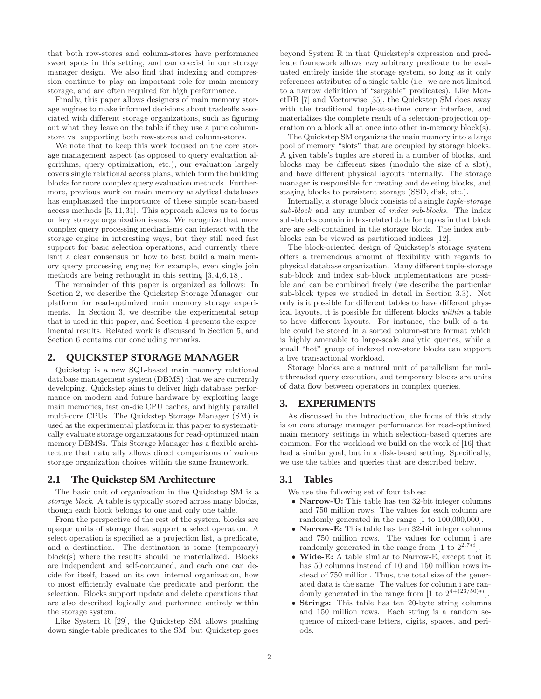that both row-stores and column-stores have performance sweet spots in this setting, and can coexist in our storage manager design. We also find that indexing and compression continue to play an important role for main memory storage, and are often required for high performance.

Finally, this paper allows designers of main memory storage engines to make informed decisions about tradeoffs associated with different storage organizations, such as figuring out what they leave on the table if they use a pure columnstore vs. supporting both row-stores and column-stores.

We note that to keep this work focused on the core storage management aspect (as opposed to query evaluation algorithms, query optimization, etc.), our evaluation largely covers single relational access plans, which form the building blocks for more complex query evaluation methods. Furthermore, previous work on main memory analytical databases has emphasized the importance of these simple scan-based access methods [5, 11, 31]. This approach allows us to focus on key storage organization issues. We recognize that more complex query processing mechanisms can interact with the storage engine in interesting ways, but they still need fast support for basic selection operations, and currently there isn't a clear consensus on how to best build a main memory query processing engine; for example, even single join methods are being rethought in this setting [3, 4, 6, 18].

The remainder of this paper is organized as follows: In Section 2, we describe the Quickstep Storage Manager, our platform for read-optimized main memory storage experiments. In Section 3, we describe the experimental setup that is used in this paper, and Section 4 presents the experimental results. Related work is discussed in Section 5, and Section 6 contains our concluding remarks.

# **2. QUICKSTEP STORAGE MANAGER**

Quickstep is a new SQL-based main memory relational database management system (DBMS) that we are currently developing. Quickstep aims to deliver high database performance on modern and future hardware by exploiting large main memories, fast on-die CPU caches, and highly parallel multi-core CPUs. The Quickstep Storage Manager (SM) is used as the experimental platform in this paper to systematically evaluate storage organizations for read-optimized main memory DBMSs. This Storage Manager has a flexible architecture that naturally allows direct comparisons of various storage organization choices within the same framework.

# **2.1 The Quickstep SM Architecture**

The basic unit of organization in the Quickstep SM is a storage block. A table is typically stored across many blocks, though each block belongs to one and only one table.

From the perspective of the rest of the system, blocks are opaque units of storage that support a select operation. A select operation is specified as a projection list, a predicate, and a destination. The destination is some (temporary) block(s) where the results should be materialized. Blocks are independent and self-contained, and each one can decide for itself, based on its own internal organization, how to most efficiently evaluate the predicate and perform the selection. Blocks support update and delete operations that are also described logically and performed entirely within the storage system.

Like System R [29], the Quickstep SM allows pushing down single-table predicates to the SM, but Quickstep goes beyond System R in that Quickstep's expression and predicate framework allows any arbitrary predicate to be evaluated entirely inside the storage system, so long as it only references attributes of a single table (i.e. we are not limited to a narrow definition of "sargable" predicates). Like MonetDB [7] and Vectorwise [35], the Quickstep SM does away with the traditional tuple-at-a-time cursor interface, and materializes the complete result of a selection-projection operation on a block all at once into other in-memory block(s).

The Quickstep SM organizes the main memory into a large pool of memory "slots" that are occupied by storage blocks. A given table's tuples are stored in a number of blocks, and blocks may be different sizes (modulo the size of a slot), and have different physical layouts internally. The storage manager is responsible for creating and deleting blocks, and staging blocks to persistent storage (SSD, disk, etc.).

Internally, a storage block consists of a single tuple-storage sub-block and any number of *index sub-blocks*. The index sub-blocks contain index-related data for tuples in that block are are self-contained in the storage block. The index subblocks can be viewed as partitioned indices [12].

The block-oriented design of Quickstep's storage system offers a tremendous amount of flexibility with regards to physical database organization. Many different tuple-storage sub-block and index sub-block implementations are possible and can be combined freely (we describe the particular sub-block types we studied in detail in Section 3.3). Not only is it possible for different tables to have different physical layouts, it is possible for different blocks within a table to have different layouts. For instance, the bulk of a table could be stored in a sorted column-store format which is highly amenable to large-scale analytic queries, while a small "hot" group of indexed row-store blocks can support a live transactional workload.

Storage blocks are a natural unit of parallelism for multithreaded query execution, and temporary blocks are units of data flow between operators in complex queries.

# **3. EXPERIMENTS**

As discussed in the Introduction, the focus of this study is on core storage manager performance for read-optimized main memory settings in which selection-based queries are common. For the workload we build on the work of [16] that had a similar goal, but in a disk-based setting. Specifically, we use the tables and queries that are described below.

# **3.1 Tables**

We use the following set of four tables:

- Narrow-U: This table has ten 32-bit integer columns and 750 million rows. The values for each column are randomly generated in the range [1 to 100,000,000].
- Narrow-E: This table has ten 32-bit integer columns and 750 million rows. The values for column i are randomly generated in the range from [1 to  $2^{2.7*i}$ ].
- Wide-E: A table similar to Narrow-E, except that it has 50 columns instead of 10 and 150 million rows instead of 750 million. Thus, the total size of the generated data is the same. The values for column i are randomly generated in the range from [1 to  $2^{4+(23/50)*i}$ ].
- Strings: This table has ten 20-byte string columns and 150 million rows. Each string is a random sequence of mixed-case letters, digits, spaces, and periods.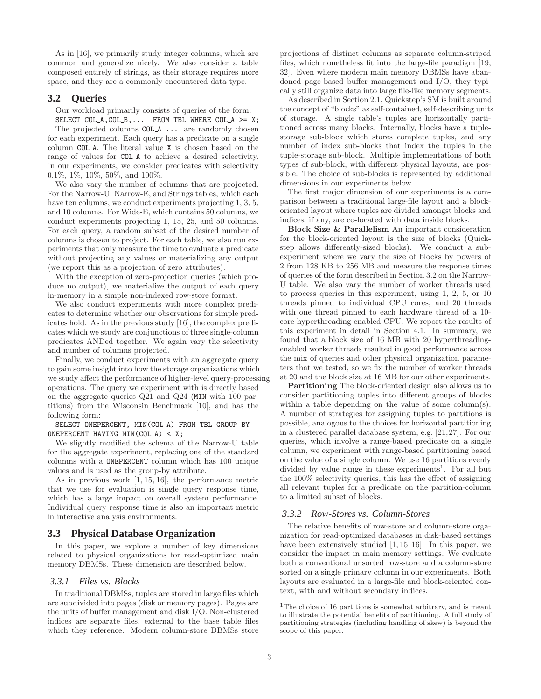As in [16], we primarily study integer columns, which are common and generalize nicely. We also consider a table composed entirely of strings, as their storage requires more space, and they are a commonly encountered data type.

#### **3.2 Queries**

Our workload primarily consists of queries of the form:

SELECT COL  $A$ , COL  $B$ ,  $\ldots$  FROM TBL WHERE COL  $A \geq X$ ; The projected columns COLA ... are randomly chosen for each experiment. Each query has a predicate on a single column COL A. The literal value X is chosen based on the range of values for COL A to achieve a desired selectivity. In our experiments, we consider predicates with selectivity 0.1%, 1%, 10%, 50%, and 100%.

We also vary the number of columns that are projected. For the Narrow-U, Narrow-E, and Strings tables, which each have ten columns, we conduct experiments projecting 1, 3, 5, and 10 columns. For Wide-E, which contains 50 columns, we conduct experiments projecting 1, 15, 25, and 50 columns. For each query, a random subset of the desired number of columns is chosen to project. For each table, we also run experiments that only measure the time to evaluate a predicate without projecting any values or materializing any output (we report this as a projection of zero attributes).

With the exception of zero-projection queries (which produce no output), we materialize the output of each query in-memory in a simple non-indexed row-store format.

We also conduct experiments with more complex predicates to determine whether our observations for simple predicates hold. As in the previous study [16], the complex predicates which we study are conjunctions of three single-column predicates ANDed together. We again vary the selectivity and number of columns projected.

Finally, we conduct experiments with an aggregate query to gain some insight into how the storage organizations which we study affect the performance of higher-level query-processing operations. The query we experiment with is directly based on the aggregate queries Q21 and Q24 (MIN with 100 partitions) from the Wisconsin Benchmark [10], and has the following form:

SELECT ONEPERCENT, MIN(COL A) FROM TBL GROUP BY ONEPERCENT HAVING MIN(COL A) < X;

We slightly modified the schema of the Narrow-U table for the aggregate experiment, replacing one of the standard columns with a ONEPERCENT column which has 100 unique values and is used as the group-by attribute.

As in previous work [1, 15, 16], the performance metric that we use for evaluation is single query response time, which has a large impact on overall system performance. Individual query response time is also an important metric in interactive analysis environments.

# **3.3 Physical Database Organization**

In this paper, we explore a number of key dimensions related to physical organizations for read-optimized main memory DBMSs. These dimension are described below.

#### *3.3.1 Files vs. Blocks*

In traditional DBMSs, tuples are stored in large files which are subdivided into pages (disk or memory pages). Pages are the units of buffer management and disk I/O. Non-clustered indices are separate files, external to the base table files which they reference. Modern column-store DBMSs store projections of distinct columns as separate column-striped files, which nonetheless fit into the large-file paradigm [19, 32]. Even where modern main memory DBMSs have abandoned page-based buffer management and I/O, they typically still organize data into large file-like memory segments.

As described in Section 2.1, Quickstep's SM is built around the concept of "blocks" as self-contained, self-describing units of storage. A single table's tuples are horizontally partitioned across many blocks. Internally, blocks have a tuplestorage sub-block which stores complete tuples, and any number of index sub-blocks that index the tuples in the tuple-storage sub-block. Multiple implementations of both types of sub-block, with different physical layouts, are possible. The choice of sub-blocks is represented by additional dimensions in our experiments below.

The first major dimension of our experiments is a comparison between a traditional large-file layout and a blockoriented layout where tuples are divided amongst blocks and indices, if any, are co-located with data inside blocks.

Block Size & Parallelism An important consideration for the block-oriented layout is the size of blocks (Quickstep allows differently-sized blocks). We conduct a subexperiment where we vary the size of blocks by powers of 2 from 128 KB to 256 MB and measure the response times of queries of the form described in Section 3.2 on the Narrow-U table. We also vary the number of worker threads used to process queries in this experiment, using 1, 2, 5, or 10 threads pinned to individual CPU cores, and 20 threads with one thread pinned to each hardware thread of a 10 core hyperthreading-enabled CPU. We report the results of this experiment in detail in Section 4.1. In summary, we found that a block size of 16 MB with 20 hyperthreadingenabled worker threads resulted in good performance across the mix of queries and other physical organization parameters that we tested, so we fix the number of worker threads at 20 and the block size at 16 MB for our other experiments.

Partitioning The block-oriented design also allows us to consider partitioning tuples into different groups of blocks within a table depending on the value of some column(s). A number of strategies for assigning tuples to partitions is possible, analogous to the choices for horizontal partitioning in a clustered parallel database system, e.g. [21,27]. For our queries, which involve a range-based predicate on a single column, we experiment with range-based partitioning based on the value of a single column. We use 16 partitions evenly divided by value range in these experiments<sup>1</sup>. For all but the 100% selectivity queries, this has the effect of assigning all relevant tuples for a predicate on the partition-column to a limited subset of blocks.

#### *3.3.2 Row-Stores vs. Column-Stores*

The relative benefits of row-store and column-store organization for read-optimized databases in disk-based settings have been extensively studied [1, 15, 16]. In this paper, we consider the impact in main memory settings. We evaluate both a conventional unsorted row-store and a column-store sorted on a single primary column in our experiments. Both layouts are evaluated in a large-file and block-oriented context, with and without secondary indices.

 $^1 \mathrm{The}$  choice of 16 partitions is somewhat arbitrary, and is meant to illustrate the potential benefits of partitioning. A full study of partitioning strategies (including handling of skew) is beyond the scope of this paper.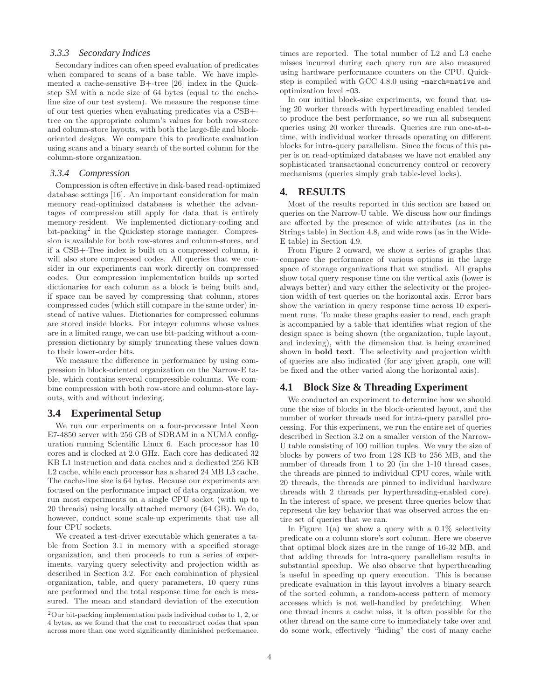#### *3.3.3 Secondary Indices*

Secondary indices can often speed evaluation of predicates when compared to scans of a base table. We have implemented a cache-sensitive B+-tree [26] index in the Quickstep SM with a node size of 64 bytes (equal to the cacheline size of our test system). We measure the response time of our test queries when evaluating predicates via a CSB+ tree on the appropriate column's values for both row-store and column-store layouts, with both the large-file and blockoriented designs. We compare this to predicate evaluation using scans and a binary search of the sorted column for the column-store organization.

#### *3.3.4 Compression*

Compression is often effective in disk-based read-optimized database settings [16]. An important consideration for main memory read-optimized databases is whether the advantages of compression still apply for data that is entirely memory-resident. We implemented dictionary-coding and bit-packing<sup>2</sup> in the Quickstep storage manager. Compression is available for both row-stores and column-stores, and if a CSB+-Tree index is built on a compressed column, it will also store compressed codes. All queries that we consider in our experiments can work directly on compressed codes. Our compression implementation builds up sorted dictionaries for each column as a block is being built and, if space can be saved by compressing that column, stores compressed codes (which still compare in the same order) instead of native values. Dictionaries for compressed columns are stored inside blocks. For integer columns whose values are in a limited range, we can use bit-packing without a compression dictionary by simply truncating these values down to their lower-order bits.

We measure the difference in performance by using compression in block-oriented organization on the Narrow-E table, which contains several compressible columns. We combine compression with both row-store and column-store layouts, with and without indexing.

#### **3.4 Experimental Setup**

We run our experiments on a four-processor Intel Xeon E7-4850 server with 256 GB of SDRAM in a NUMA configuration running Scientific Linux 6. Each processor has 10 cores and is clocked at 2.0 GHz. Each core has dedicated 32 KB L1 instruction and data caches and a dedicated 256 KB L2 cache, while each processor has a shared 24 MB L3 cache. The cache-line size is 64 bytes. Because our experiments are focused on the performance impact of data organization, we run most experiments on a single CPU socket (with up to 20 threads) using locally attached memory (64 GB). We do, however, conduct some scale-up experiments that use all four CPU sockets.

We created a test-driver executable which generates a table from Section 3.1 in memory with a specified storage organization, and then proceeds to run a series of experiments, varying query selectivity and projection width as described in Section 3.2. For each combination of physical organization, table, and query parameters, 10 query runs are performed and the total response time for each is measured. The mean and standard deviation of the execution times are reported. The total number of L2 and L3 cache misses incurred during each query run are also measured using hardware performance counters on the CPU. Quickstep is compiled with GCC 4.8.0 using -march=native and optimization level -O3.

In our initial block-size experiments, we found that using 20 worker threads with hyperthreading enabled tended to produce the best performance, so we run all subsequent queries using 20 worker threads. Queries are run one-at-atime, with individual worker threads operating on different blocks for intra-query parallelism. Since the focus of this paper is on read-optimized databases we have not enabled any sophisticated transactional concurrency control or recovery mechanisms (queries simply grab table-level locks).

# **4. RESULTS**

Most of the results reported in this section are based on queries on the Narrow-U table. We discuss how our findings are affected by the presence of wide attributes (as in the Strings table) in Section 4.8, and wide rows (as in the Wide-E table) in Section 4.9.

From Figure 2 onward, we show a series of graphs that compare the performance of various options in the large space of storage organizations that we studied. All graphs show total query response time on the vertical axis (lower is always better) and vary either the selectivity or the projection width of test queries on the horizontal axis. Error bars show the variation in query response time across 10 experiment runs. To make these graphs easier to read, each graph is accompanied by a table that identifies what region of the design space is being shown (the organization, tuple layout, and indexing), with the dimension that is being examined shown in bold text. The selectivity and projection width of queries are also indicated (for any given graph, one will be fixed and the other varied along the horizontal axis).

## **4.1 Block Size & Threading Experiment**

We conducted an experiment to determine how we should tune the size of blocks in the block-oriented layout, and the number of worker threads used for intra-query parallel processing. For this experiment, we run the entire set of queries described in Section 3.2 on a smaller version of the Narrow-U table consisting of 100 million tuples. We vary the size of blocks by powers of two from 128 KB to 256 MB, and the number of threads from 1 to 20 (in the 1-10 thread cases, the threads are pinned to individual CPU cores, while with 20 threads, the threads are pinned to individual hardware threads with 2 threads per hyperthreading-enabled core). In the interest of space, we present three queries below that represent the key behavior that was observed across the entire set of queries that we ran.

In Figure 1(a) we show a query with a  $0.1\%$  selectivity predicate on a column store's sort column. Here we observe that optimal block sizes are in the range of 16-32 MB, and that adding threads for intra-query parallelism results in substantial speedup. We also observe that hyperthreading is useful in speeding up query execution. This is because predicate evaluation in this layout involves a binary search of the sorted column, a random-access pattern of memory accesses which is not well-handled by prefetching. When one thread incurs a cache miss, it is often possible for the other thread on the same core to immediately take over and do some work, effectively "hiding" the cost of many cache

<sup>2</sup>Our bit-packing implementation pads individual codes to 1, 2, or 4 bytes, as we found that the cost to reconstruct codes that span across more than one word significantly diminished performance.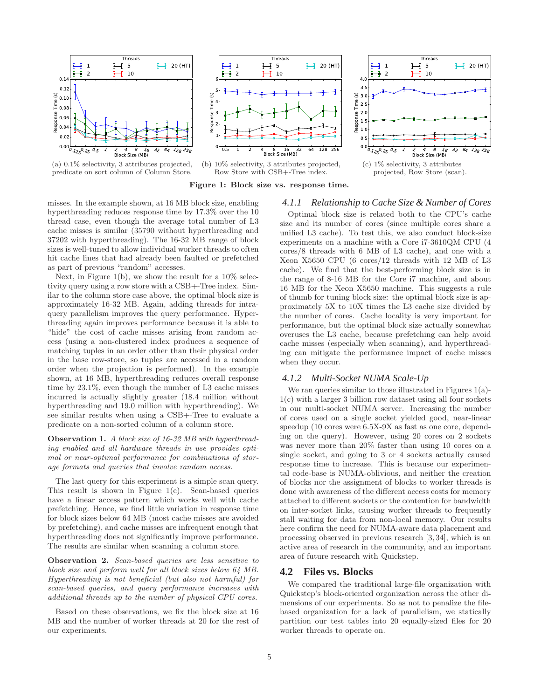

(a) 0.1% selectivity, 3 attributes projected, predicate on sort column of Column Store.



(b) 10% selectivity, 3 attributes projected, Row Store with CSB+-Tree index.



Figure 1: Block size vs. response time.

misses. In the example shown, at 16 MB block size, enabling hyperthreading reduces response time by 17.3% over the 10 thread case, even though the average total number of L3 cache misses is similar (35790 without hyperthreading and 37202 with hyperthreading). The 16-32 MB range of block sizes is well-tuned to allow individual worker threads to often hit cache lines that had already been faulted or prefetched as part of previous "random" accesses.

Next, in Figure 1(b), we show the result for a 10% selectivity query using a row store with a CSB+-Tree index. Similar to the column store case above, the optimal block size is approximately 16-32 MB. Again, adding threads for intraquery parallelism improves the query performance. Hyperthreading again improves performance because it is able to "hide" the cost of cache misses arising from random access (using a non-clustered index produces a sequence of matching tuples in an order other than their physical order in the base row-store, so tuples are accessed in a random order when the projection is performed). In the example shown, at 16 MB, hyperthreading reduces overall response time by 23.1%, even though the number of L3 cache misses incurred is actually slightly greater (18.4 million without hyperthreading and 19.0 million with hyperthreading). We see similar results when using a CSB+-Tree to evaluate a predicate on a non-sorted column of a column store.

Observation 1. A block size of 16-32 MB with hyperthreading enabled and all hardware threads in use provides optimal or near-optimal performance for combinations of storage formats and queries that involve random access.

The last query for this experiment is a simple scan query. This result is shown in Figure  $1(c)$ . Scan-based queries have a linear access pattern which works well with cache prefetching. Hence, we find little variation in response time for block sizes below 64 MB (most cache misses are avoided by prefetching), and cache misses are infrequent enough that hyperthreading does not significantly improve performance. The results are similar when scanning a column store.

Observation 2. Scan-based queries are less sensitive to block size and perform well for all block sizes below 64 MB. Hyperthreading is not beneficial (but also not harmful) for scan-based queries, and query performance increases with additional threads up to the number of physical CPU cores.

Based on these observations, we fix the block size at 16 MB and the number of worker threads at 20 for the rest of our experiments.

## *4.1.1 Relationship to Cache Size & Number of Cores*

Optimal block size is related both to the CPU's cache size and its number of cores (since multiple cores share a unified L3 cache). To test this, we also conduct block-size experiments on a machine with a Core i7-3610QM CPU (4 cores/8 threads with 6 MB of L3 cache), and one with a Xeon X5650 CPU (6 cores/12 threads with 12 MB of L3 cache). We find that the best-performing block size is in the range of 8-16 MB for the Core i7 machine, and about 16 MB for the Xeon X5650 machine. This suggests a rule of thumb for tuning block size: the optimal block size is approximately 5X to 10X times the L3 cache size divided by the number of cores. Cache locality is very important for performance, but the optimal block size actually somewhat overuses the L3 cache, because prefetching can help avoid cache misses (especially when scanning), and hyperthreading can mitigate the performance impact of cache misses when they occur.

#### *4.1.2 Multi-Socket NUMA Scale-Up*

We ran queries similar to those illustrated in Figures 1(a)-1(c) with a larger 3 billion row dataset using all four sockets in our multi-socket NUMA server. Increasing the number of cores used on a single socket yielded good, near-linear speedup (10 cores were 6.5X-9X as fast as one core, depending on the query). However, using 20 cores on 2 sockets was never more than 20% faster than using 10 cores on a single socket, and going to 3 or 4 sockets actually caused response time to increase. This is because our experimental code-base is NUMA-oblivious, and neither the creation of blocks nor the assignment of blocks to worker threads is done with awareness of the different access costs for memory attached to different sockets or the contention for bandwidth on inter-socket links, causing worker threads to frequently stall waiting for data from non-local memory. Our results here confirm the need for NUMA-aware data placement and processing observed in previous research [3, 34], which is an active area of research in the community, and an important area of future research with Quickstep.

#### **4.2 Files vs. Blocks**

We compared the traditional large-file organization with Quickstep's block-oriented organization across the other dimensions of our experiments. So as not to penalize the filebased organization for a lack of parallelism, we statically partition our test tables into 20 equally-sized files for 20 worker threads to operate on.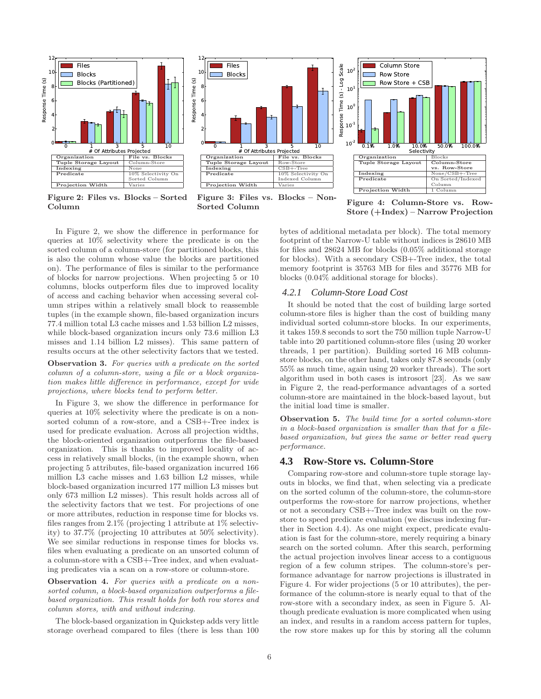

12 **Files** Time (s) - Log Scale  $\overline{1}$ **Blocks** Response Time (s) Response Time ( 8 Response Time ( 6 Response 4 2 0 "" #"! " **Exercise File vs. Blocks**<br> **Layout** Row-Store Organization File vs. B<br>Tuple Storage Layout Row-Store<br>Indexing CSB+-Tree Indexing CSB+-Tree Predicate 10% Selectivity On Indexed Column Projection Width Varies

Column Store  $10$ Row Store Row Store + CSB ٦  $10^1$  $10<sup>0</sup>$  $10^{\circ}$  $10<sup>°</sup>$ 50.0% 100.0% ! Organization Block<br>Tuple Storage Layout Colum Storage Layout Column-Store<br>vs. Row-Store Indexing None/CSB+-Tree Predicate On Sorted/Indexed Column Width 1 Colum

Figure 2: Files vs. Blocks – Sorted Column



Figure 4: Column-Store vs. Row-Store (+Index) – Narrow Projection

In Figure 2, we show the difference in performance for queries at 10% selectivity where the predicate is on the sorted column of a column-store (for partitioned blocks, this is also the column whose value the blocks are partitioned on). The performance of files is similar to the performance of blocks for narrow projections. When projecting 5 or 10 columns, blocks outperform files due to improved locality of access and caching behavior when accessing several column stripes within a relatively small block to reassemble tuples (in the example shown, file-based organization incurs 77.4 million total L3 cache misses and 1.53 billion L2 misses, while block-based organization incurs only 73.6 million L3 misses and 1.14 billion L2 misses). This same pattern of results occurs at the other selectivity factors that we tested.

Observation 3. For queries with a predicate on the sorted column of a column-store, using a file or a block organization makes little difference in performance, except for wide projections, where blocks tend to perform better.

In Figure 3, we show the difference in performance for queries at 10% selectivity where the predicate is on a nonsorted column of a row-store, and a CSB+-Tree index is used for predicate evaluation. Across all projection widths, the block-oriented organization outperforms the file-based organization. This is thanks to improved locality of access in relatively small blocks, (in the example shown, when projecting 5 attributes, file-based organization incurred 166 million L3 cache misses and 1.63 billion L2 misses, while block-based organization incurred 177 million L3 misses but only 673 million L2 misses). This result holds across all of the selectivity factors that we test. For projections of one or more attributes, reduction in response time for blocks vs. files ranges from 2.1% (projecting 1 attribute at 1% selectivity) to 37.7% (projecting 10 attributes at 50% selectivity). We see similar reductions in response times for blocks vs. files when evaluating a predicate on an unsorted column of a column-store with a CSB+-Tree index, and when evaluating predicates via a scan on a row-store or column-store.

Observation 4. For queries with a predicate on a nonsorted column, a block-based organization outperforms a filebased organization. This result holds for both row stores and column stores, with and without indexing.

The block-based organization in Quickstep adds very little storage overhead compared to files (there is less than 100 bytes of additional metadata per block). The total memory footprint of the Narrow-U table without indices is 28610 MB for files and 28624 MB for blocks (0.05% additional storage for blocks). With a secondary CSB+-Tree index, the total memory footprint is 35763 MB for files and 35776 MB for blocks (0.04% additional storage for blocks).

#### *4.2.1 Column-Store Load Cost*

It should be noted that the cost of building large sorted column-store files is higher than the cost of building many individual sorted column-store blocks. In our experiments, it takes 159.8 seconds to sort the 750 million tuple Narrow-U table into 20 partitioned column-store files (using 20 worker threads, 1 per partition). Building sorted 16 MB columnstore blocks, on the other hand, takes only 87.8 seconds (only 55% as much time, again using 20 worker threads). The sort algorithm used in both cases is introsort [23]. As we saw in Figure 2, the read-performance advantages of a sorted column-store are maintained in the block-based layout, but the initial load time is smaller.

Observation 5. The build time for a sorted column-store in a block-based organization is smaller than that for a filebased organization, but gives the same or better read query performance.

# **4.3 Row-Store vs. Column-Store**

Comparing row-store and column-store tuple storage layouts in blocks, we find that, when selecting via a predicate on the sorted column of the column-store, the column-store outperforms the row-store for narrow projections, whether or not a secondary CSB+-Tree index was built on the rowstore to speed predicate evaluation (we discuss indexing further in Section 4.4). As one might expect, predicate evaluation is fast for the column-store, merely requiring a binary search on the sorted column. After this search, performing the actual projection involves linear access to a contiguous region of a few column stripes. The column-store's performance advantage for narrow projections is illustrated in Figure 4. For wider projections (5 or 10 attributes), the performance of the column-store is nearly equal to that of the row-store with a secondary index, as seen in Figure 5. Although predicate evaluation is more complicated when using an index, and results in a random access pattern for tuples, the row store makes up for this by storing all the column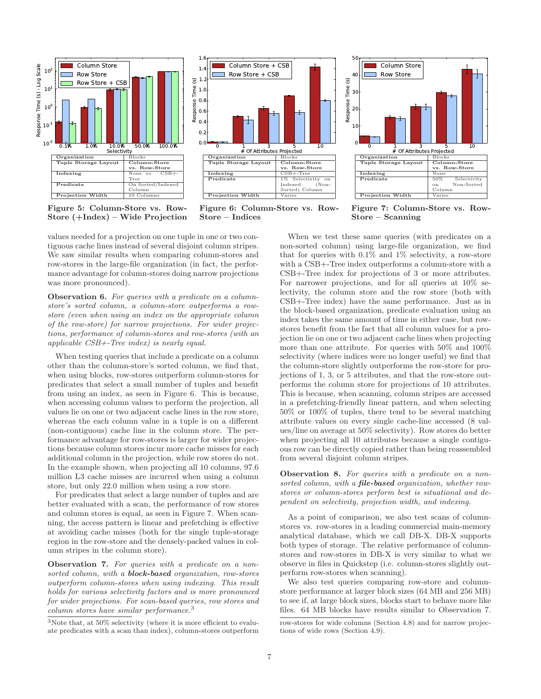





Figure 5: Column-Store vs. Row-Store (+Index) – Wide Projection

Figure 6: Column-Store vs. Row-Store – Indices

Figure 7: Column-Store vs. Row-Store – Scanning

values needed for a projection on one tuple in one or two contiguous cache lines instead of several disjoint column stripes. We saw similar results when comparing column-stores and row-stores in the large-file organization (in fact, the performance advantage for column-stores doing narrow projections was more pronounced).

Observation 6. For queries with a predicate on a columnstore's sorted column, a column-store outperforms a rowstore (even when using an index on the appropriate column of the row-store) for narrow projections. For wider projections, performance of column-stores and row-stores (with an applicable CSB+-Tree index) is nearly equal.

When testing queries that include a predicate on a column other than the column-store's sorted column, we find that, when using blocks, row-stores outperform column-stores for predicates that select a small number of tuples and benefit from using an index, as seen in Figure 6. This is because, when accessing column values to perform the projection, all values lie on one or two adjacent cache lines in the row store, whereas the each column value in a tuple is on a different (non-contiguous) cache line in the column store. The performance advantage for row-stores is larger for wider projections because column stores incur more cache misses for each additional column in the projection, while row stores do not. In the example shown, when projecting all 10 columns, 97.6 million L3 cache misses are incurred when using a column store, but only 22.0 million when using a row store.

For predicates that select a large number of tuples and are better evaluated with a scan, the performance of row stores and column stores is equal, as seen in Figure 7. When scanning, the access pattern is linear and prefetching is effective at avoiding cache misses (both for the single tuple-storage region in the row-store and the densely-packed values in column stripes in the column store).

Observation 7. For queries with a predicate on a nonsorted column, with a **block-based** organization, row-stores outperform column-stores when using indexing. This result holds for various selectivity factors and is more pronounced for wider projections. For scan-based queries, row stores and column stores have similar performance.<sup>3</sup>

When we test these same queries (with predicates on a non-sorted column) using large-file organization, we find that for queries with  $0.1\%$  and  $1\%$  selectivity, a row-store with a CSB+-Tree index outperforms a column-store with a CSB+-Tree index for projections of 3 or more attributes. For narrower projections, and for all queries at 10% selectivity, the column store and the row store (both with CSB+-Tree index) have the same performance. Just as in the block-based organization, predicate evaluation using an index takes the same amount of time in either case, but rowstores benefit from the fact that all column values for a projection lie on one or two adjacent cache lines when projecting more than one attribute. For queries with 50% and 100% selectivity (where indices were no longer useful) we find that the column-store slightly outperforms the row-store for projections of 1, 3, or 5 attributes, and that the row-store outperforms the column store for projections of 10 attributes. This is because, when scanning, column stripes are accessed in a prefetching-friendly linear pattern, and when selecting 50% or 100% of tuples, there tend to be several matching attribute values on every single cache-line accessed (8 values/line on average at 50% selectivity). Row stores do better when projecting all 10 attributes because a single contiguous row can be directly copied rather than being reassembled from several disjoint column stripes.

Observation 8. For queries with a predicate on a nonsorted column, with a file-based organization, whether rowstores or column-stores perform best is situational and dependent on selectivity, projection width, and indexing.

As a point of comparison, we also test scans of columnstores vs. row-stores in a leading commercial main-memory analytical database, which we call DB-X. DB-X supports both types of storage. The relative performance of columnstores and row-stores in DB-X is very similar to what we observe in files in Quickstep (i.e. column-stores slightly outperform row-stores when scanning).

We also test queries comparing row-store and columnstore performance at larger block sizes (64 MB and 256 MB) to see if, at large block sizes, blocks start to behave more like files. 64 MB blocks have results similar to Observation 7.

 $3$ Note that, at  $50\%$  selectivity (where it is more efficient to evaluate predicates with a scan than index), column-stores outperform

row-stores for wide columns (Section 4.8) and for narrow projections of wide rows (Section 4.9).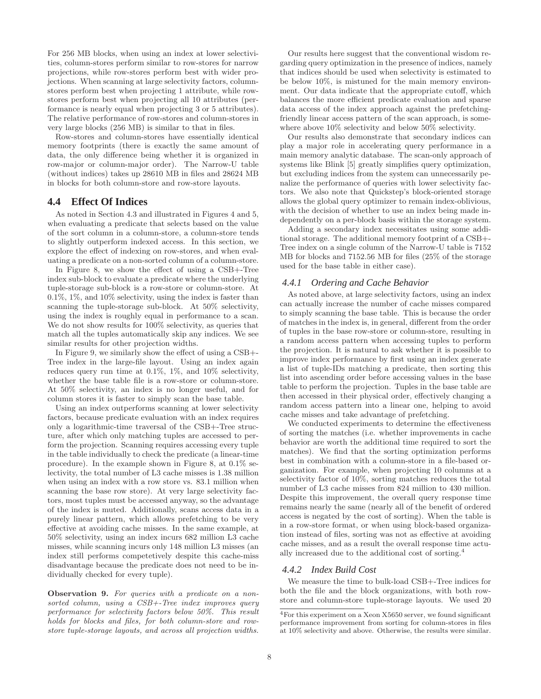For 256 MB blocks, when using an index at lower selectivities, column-stores perform similar to row-stores for narrow projections, while row-stores perform best with wider projections. When scanning at large selectivity factors, columnstores perform best when projecting 1 attribute, while rowstores perform best when projecting all 10 attributes (performance is nearly equal when projecting 3 or 5 attributes). The relative performance of row-stores and column-stores in very large blocks (256 MB) is similar to that in files.

Row-stores and column-stores have essentially identical memory footprints (there is exactly the same amount of data, the only difference being whether it is organized in row-major or column-major order). The Narrow-U table (without indices) takes up 28610 MB in files and 28624 MB in blocks for both column-store and row-store layouts.

# **4.4 Effect Of Indices**

As noted in Section 4.3 and illustrated in Figures 4 and 5, when evaluating a predicate that selects based on the value of the sort column in a column-store, a column-store tends to slightly outperform indexed access. In this section, we explore the effect of indexing on row-stores, and when evaluating a predicate on a non-sorted column of a column-store.

In Figure 8, we show the effect of using a CSB+-Tree index sub-block to evaluate a predicate where the underlying tuple-storage sub-block is a row-store or column-store. At 0.1%, 1%, and 10% selectivity, using the index is faster than scanning the tuple-storage sub-block. At 50% selectivity, using the index is roughly equal in performance to a scan. We do not show results for 100% selectivity, as queries that match all the tuples automatically skip any indices. We see similar results for other projection widths.

In Figure 9, we similarly show the effect of using a CSB+- Tree index in the large-file layout. Using an index again reduces query run time at 0.1%, 1%, and 10% selectivity, whether the base table file is a row-store or column-store. At 50% selectivity, an index is no longer useful, and for column stores it is faster to simply scan the base table.

Using an index outperforms scanning at lower selectivity factors, because predicate evaluation with an index requires only a logarithmic-time traversal of the CSB+-Tree structure, after which only matching tuples are accessed to perform the projection. Scanning requires accessing every tuple in the table individually to check the predicate (a linear-time procedure). In the example shown in Figure 8, at 0.1% selectivity, the total number of L3 cache misses is 1.38 million when using an index with a row store vs. 83.1 million when scanning the base row store). At very large selectivity factors, most tuples must be accessed anyway, so the advantage of the index is muted. Additionally, scans access data in a purely linear pattern, which allows prefetching to be very effective at avoiding cache misses. In the same example, at 50% selectivity, using an index incurs 682 million L3 cache misses, while scanning incurs only 148 million L3 misses (an index still performs competetively despite this cache-miss disadvantage because the predicate does not need to be individually checked for every tuple).

Observation 9. For queries with a predicate on a nonsorted column, using a CSB+-Tree index improves query performance for selectivity factors below 50%. This result holds for blocks and files, for both column-store and rowstore tuple-storage layouts, and across all projection widths.

Our results here suggest that the conventional wisdom regarding query optimization in the presence of indices, namely that indices should be used when selectivity is estimated to be below 10%, is mistuned for the main memory environment. Our data indicate that the appropriate cutoff, which balances the more efficient predicate evaluation and sparse data access of the index approach against the prefetchingfriendly linear access pattern of the scan approach, is somewhere above 10% selectivity and below 50% selectivity.

Our results also demonstrate that secondary indices can play a major role in accelerating query performance in a main memory analytic database. The scan-only approach of systems like Blink [5] greatly simplifies query optimization, but excluding indices from the system can unnecessarily penalize the performance of queries with lower selectivity factors. We also note that Quickstep's block-oriented storage allows the global query optimizer to remain index-oblivious, with the decision of whether to use an index being made independently on a per-block basis within the storage system.

Adding a secondary index necessitates using some additional storage. The additional memory footprint of a CSB+- Tree index on a single column of the Narrow-U table is 7152 MB for blocks and 7152.56 MB for files (25% of the storage used for the base table in either case).

#### *4.4.1 Ordering and Cache Behavior*

As noted above, at large selectivity factors, using an index can actually increase the number of cache misses compared to simply scanning the base table. This is because the order of matches in the index is, in general, different from the order of tuples in the base row-store or column-store, resulting in a random access pattern when accessing tuples to perform the projection. It is natural to ask whether it is possible to improve index performance by first using an index generate a list of tuple-IDs matching a predicate, then sorting this list into ascending order before accessing values in the base table to perform the projection. Tuples in the base table are then accessed in their physical order, effectively changing a random access pattern into a linear one, helping to avoid cache misses and take advantage of prefetching.

We conducted experiments to determine the effectiveness of sorting the matches (i.e. whether improvements in cache behavior are worth the additional time required to sort the matches). We find that the sorting optimization performs best in combination with a column-store in a file-based organization. For example, when projecting 10 columns at a selectivity factor of 10%, sorting matches reduces the total number of L3 cache misses from 824 million to 430 million. Despite this improvement, the overall query response time remains nearly the same (nearly all of the benefit of ordered access is negated by the cost of sorting). When the table is in a row-store format, or when using block-based organization instead of files, sorting was not as effective at avoiding cache misses, and as a result the overall response time actually increased due to the additional cost of sorting.<sup>4</sup>

#### *4.4.2 Index Build Cost*

We measure the time to bulk-load CSB+-Tree indices for both the file and the block organizations, with both rowstore and column-store tuple-storage layouts. We used 20

<sup>4</sup>For this experiment on a Xeon X5650 server, we found significant performance improvement from sorting for column-stores in files at 10% selectivity and above. Otherwise, the results were similar.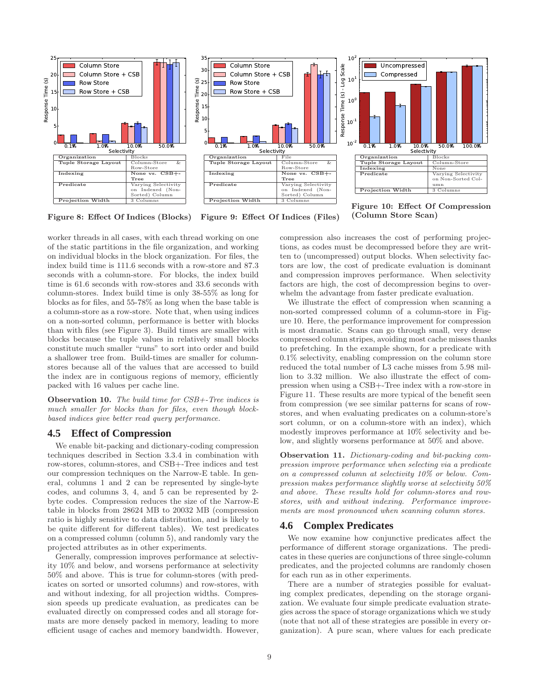

Figure 8: Effect Of Indices (Blocks) Figure 9: Effect Of Indices (Files)

Figure 10: Effect Of Compression (Column Store Scan)

worker threads in all cases, with each thread working on one of the static partitions in the file organization, and working on individual blocks in the block organization. For files, the index build time is 111.6 seconds with a row-store and 87.3 seconds with a column-store. For blocks, the index build time is 61.6 seconds with row-stores and 33.6 seconds with column-stores. Index build time is only 38-55% as long for blocks as for files, and 55-78% as long when the base table is a column-store as a row-store. Note that, when using indices on a non-sorted column, performance is better with blocks than with files (see Figure 3). Build times are smaller with blocks because the tuple values in relatively small blocks constitute much smaller "runs" to sort into order and build a shallower tree from. Build-times are smaller for columnstores because all of the values that are accessed to build the index are in contiguous regions of memory, efficiently packed with 16 values per cache line.

Observation 10. The build time for CSB+-Tree indices is much smaller for blocks than for files, even though blockbased indices give better read query performance.

#### **4.5 Effect of Compression**

We enable bit-packing and dictionary-coding compression techniques described in Section 3.3.4 in combination with row-stores, column-stores, and CSB+-Tree indices and test our compression techniques on the Narrow-E table. In general, columns 1 and 2 can be represented by single-byte codes, and columns 3, 4, and 5 can be represented by 2 byte codes. Compression reduces the size of the Narrow-E table in blocks from 28624 MB to 20032 MB (compression ratio is highly sensitive to data distribution, and is likely to be quite different for different tables). We test predicates on a compressed column (column 5), and randomly vary the projected attributes as in other experiments.

Generally, compression improves performance at selectivity 10% and below, and worsens performance at selectivity 50% and above. This is true for column-stores (with predicates on sorted or unsorted columns) and row-stores, with and without indexing, for all projection widths. Compression speeds up predicate evaluation, as predicates can be evaluated directly on compressed codes and all storage formats are more densely packed in memory, leading to more efficient usage of caches and memory bandwidth. However, compression also increases the cost of performing projections, as codes must be decompressed before they are written to (uncompressed) output blocks. When selectivity factors are low, the cost of predicate evaluation is dominant and compression improves performance. When selectivity factors are high, the cost of decompression begins to overwhelm the advantage from faster predicate evaluation.

We illustrate the effect of compression when scanning a non-sorted compressed column of a column-store in Figure 10. Here, the performance improvement for compression is most dramatic. Scans can go through small, very dense compressed column stripes, avoiding most cache misses thanks to prefetching. In the example shown, for a predicate with 0.1% selectivity, enabling compression on the column store reduced the total number of L3 cache misses from 5.98 million to 3.32 million. We also illustrate the effect of compression when using a CSB+-Tree index with a row-store in Figure 11. These results are more typical of the benefit seen from compression (we see similar patterns for scans of rowstores, and when evaluating predicates on a column-store's sort column, or on a column-store with an index), which modestly improves performance at 10% selectivity and below, and slightly worsens performance at 50% and above.

Observation 11. Dictionary-coding and bit-packing compression improve performance when selecting via a predicate on a compressed column at selectivity 10% or below. Compression makes performance slightly worse at selectivity 50% and above. These results hold for column-stores and rowstores, with and without indexing. Performance improvements are most pronounced when scanning column stores.

### **4.6 Complex Predicates**

We now examine how conjunctive predicates affect the performance of different storage organizations. The predicates in these queries are conjunctions of three single-column predicates, and the projected columns are randomly chosen for each run as in other experiments.

There are a number of strategies possible for evaluating complex predicates, depending on the storage organization. We evaluate four simple predicate evaluation strategies across the space of storage organizations which we study (note that not all of these strategies are possible in every organization). A pure scan, where values for each predicate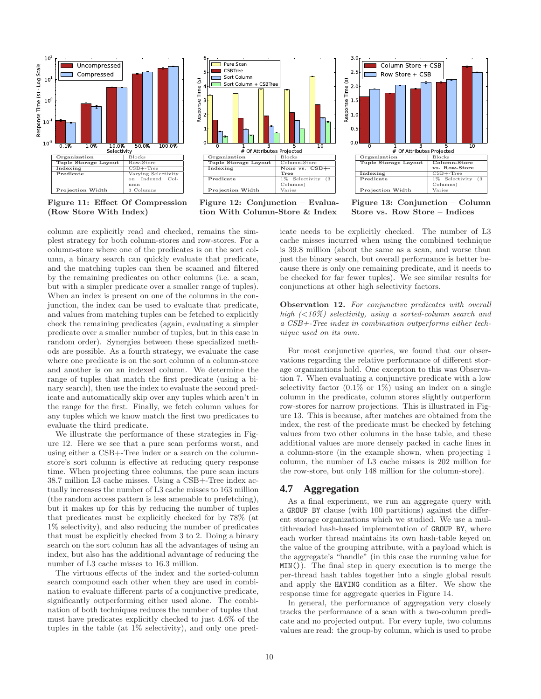

Figure 11: Effect Of Compression (Row Store With Index)



Figure 12: Conjunction – Evaluation With Column-Store & Index



Figure 13: Conjunction – Column Store vs. Row Store – Indices

column are explicitly read and checked, remains the simplest strategy for both column-stores and row-stores. For a column-store where one of the predicates is on the sort column, a binary search can quickly evaluate that predicate, and the matching tuples can then be scanned and filtered by the remaining predicates on other columns (i.e. a scan, but with a simpler predicate over a smaller range of tuples). When an index is present on one of the columns in the conjunction, the index can be used to evaluate that predicate, and values from matching tuples can be fetched to explicitly check the remaining predicates (again, evaluating a simpler predicate over a smaller number of tuples, but in this case in random order). Synergies between these specialized methods are possible. As a fourth strategy, we evaluate the case where one predicate is on the sort column of a column-store and another is on an indexed column. We determine the range of tuples that match the first predicate (using a binary search), then use the index to evaluate the second predicate and automatically skip over any tuples which aren't in the range for the first. Finally, we fetch column values for any tuples which we know match the first two predicates to evaluate the third predicate.

We illustrate the performance of these strategies in Figure 12. Here we see that a pure scan performs worst, and using either a CSB+-Tree index or a search on the columnstore's sort column is effective at reducing query response time. When projecting three columns, the pure scan incurs 38.7 million L3 cache misses. Using a CSB+-Tree index actually increases the number of L3 cache misses to 163 million (the random access pattern is less amenable to prefetching), but it makes up for this by reducing the number of tuples that predicates must be explicitly checked for by 78% (at 1% selectivity), and also reducing the number of predicates that must be explicitly checked from 3 to 2. Doing a binary search on the sort column has all the advantages of using an index, but also has the additional advantage of reducing the number of L3 cache misses to 16.3 million.

The virtuous effects of the index and the sorted-column search compound each other when they are used in combination to evaluate different parts of a conjunctive predicate, significantly outperforming either used alone. The combination of both techniques reduces the number of tuples that must have predicates explicitly checked to just 4.6% of the tuples in the table (at 1% selectivity), and only one predicate needs to be explicitly checked. The number of L3 cache misses incurred when using the combined technique is 39.8 million (about the same as a scan, and worse than just the binary search, but overall performance is better because there is only one remaining predicate, and it needs to be checked for far fewer tuples). We see similar results for conjunctions at other high selectivity factors.

Observation 12. For conjunctive predicates with overall high  $\langle \langle 10\% \rangle$  selectivity, using a sorted-column search and a CSB+-Tree index in combination outperforms either technique used on its own.

For most conjunctive queries, we found that our observations regarding the relative performance of different storage organizations hold. One exception to this was Observation 7. When evaluating a conjunctive predicate with a low selectivity factor  $(0.1\% \text{ or } 1\%)$  using an index on a single column in the predicate, column stores slightly outperform row-stores for narrow projections. This is illustrated in Figure 13. This is because, after matches are obtained from the index, the rest of the predicate must be checked by fetching values from two other columns in the base table, and these additional values are more densely packed in cache lines in a column-store (in the example shown, when projecting 1 column, the number of L3 cache misses is 202 million for the row-store, but only 148 million for the column-store).

# **4.7 Aggregation**

As a final experiment, we run an aggregate query with a GROUP BY clause (with 100 partitions) against the different storage organizations which we studied. We use a multithreaded hash-based implementation of GROUP BY, where each worker thread maintains its own hash-table keyed on the value of the grouping attribute, with a payload which is the aggregate's "handle" (in this case the running value for MIN()). The final step in query execution is to merge the per-thread hash tables together into a single global result and apply the HAVING condition as a filter. We show the response time for aggregate queries in Figure 14.

In general, the performance of aggregation very closely tracks the performance of a scan with a two-column predicate and no projected output. For every tuple, two columns values are read: the group-by column, which is used to probe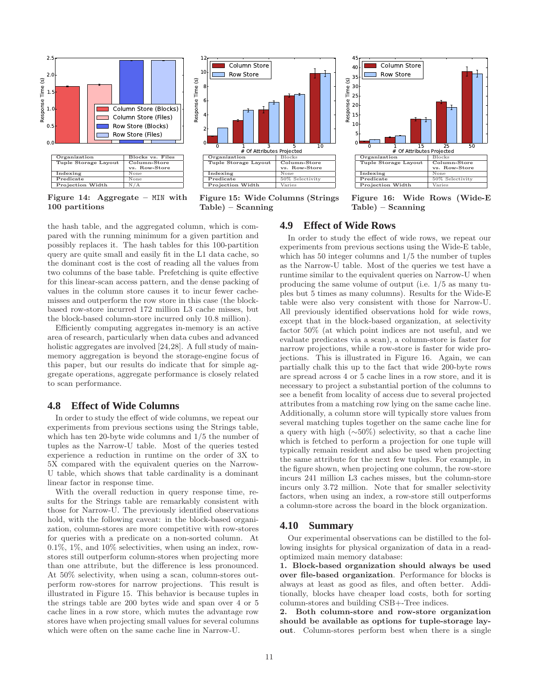



Figure 15: Wide Columns (Strings Table) – Scanning



Figure 14: Aggregate – MIN with 100 partitions



the hash table, and the aggregated column, which is compared with the running minimum for a given partition and possibly replaces it. The hash tables for this 100-partition query are quite small and easily fit in the L1 data cache, so the dominant cost is the cost of reading all the values from two columns of the base table. Prefetching is quite effective for this linear-scan access pattern, and the dense packing of values in the column store causes it to incur fewer cachemisses and outperform the row store in this case (the blockbased row-store incurred 172 million L3 cache misses, but the block-based column-store incurred only 10.8 million).

Efficiently computing aggregates in-memory is an active area of research, particularly when data cubes and advanced holistic aggregates are involved [24,28]. A full study of mainmemory aggregation is beyond the storage-engine focus of this paper, but our results do indicate that for simple aggregate operations, aggregate performance is closely related to scan performance.

# **4.8 Effect of Wide Columns**

In order to study the effect of wide columns, we repeat our experiments from previous sections using the Strings table, which has ten 20-byte wide columns and 1/5 the number of tuples as the Narrow-U table. Most of the queries tested experience a reduction in runtime on the order of 3X to 5X compared with the equivalent queries on the Narrow-U table, which shows that table cardinality is a dominant linear factor in response time.

With the overall reduction in query response time, results for the Strings table are remarkably consistent with those for Narrow-U. The previously identified observations hold, with the following caveat: in the block-based organization, column-stores are more competitive with row-stores for queries with a predicate on a non-sorted column. At  $0.1\%$ ,  $1\%$ , and  $10\%$  selectivities, when using an index, rowstores still outperform column-stores when projecting more than one attribute, but the difference is less pronounced. At 50% selectivity, when using a scan, column-stores outperform row-stores for narrow projections. This result is illustrated in Figure 15. This behavior is because tuples in the strings table are 200 bytes wide and span over 4 or 5 cache lines in a row store, which mutes the advantage row stores have when projecting small values for several columns which were often on the same cache line in Narrow-U.

Figure 16: Wide Rows (Wide-E Table) – Scanning

#### **4.9 Effect of Wide Rows**

In order to study the effect of wide rows, we repeat our experiments from previous sections using the Wide-E table, which has 50 integer columns and 1/5 the number of tuples as the Narrow-U table. Most of the queries we test have a runtime similar to the equivalent queries on Narrow-U when producing the same volume of output (i.e. 1/5 as many tuples but 5 times as many columns). Results for the Wide-E table were also very consistent with those for Narrow-U. All previously identified observations hold for wide rows, except that in the block-based organization, at selectivity factor 50% (at which point indices are not useful, and we evaluate predicates via a scan), a column-store is faster for narrow projections, while a row-store is faster for wide projections. This is illustrated in Figure 16. Again, we can partially chalk this up to the fact that wide 200-byte rows are spread across 4 or 5 cache lines in a row store, and it is necessary to project a substantial portion of the columns to see a benefit from locality of access due to several projected attributes from a matching row lying on the same cache line. Additionally, a column store will typically store values from several matching tuples together on the same cache line for a query with high (∼50%) selectivity, so that a cache line which is fetched to perform a projection for one tuple will typically remain resident and also be used when projecting the same attribute for the next few tuples. For example, in the figure shown, when projecting one column, the row-store incurs 241 million L3 caches misses, but the column-store incurs only 3.72 million. Note that for smaller selectivity factors, when using an index, a row-store still outperforms a column-store across the board in the block organization.

#### **4.10 Summary**

Our experimental observations can be distilled to the following insights for physical organization of data in a readoptimized main memory database:

1. Block-based organization should always be used over file-based organization. Performance for blocks is always at least as good as files, and often better. Additionally, blocks have cheaper load costs, both for sorting column-stores and building CSB+-Tree indices.

2. Both column-store and row-store organization should be available as options for tuple-storage layout. Column-stores perform best when there is a single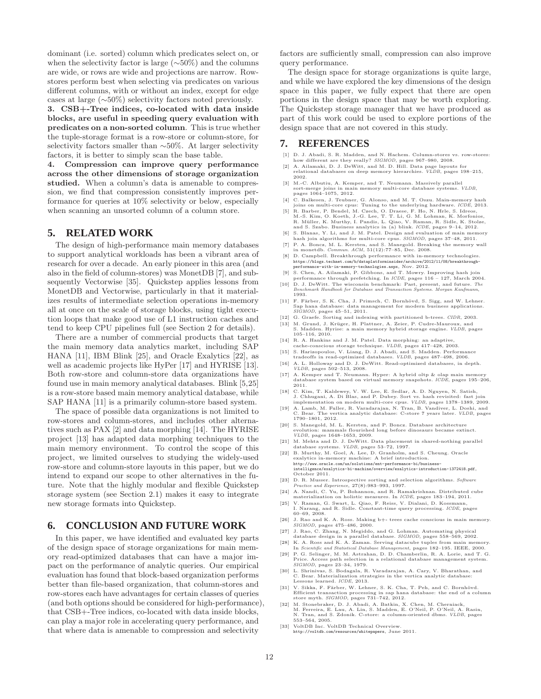dominant (i.e. sorted) column which predicates select on, or when the selectivity factor is large (∼50%) and the columns are wide, or rows are wide and projections are narrow. Rowstores perform best when selecting via predicates on various different columns, with or without an index, except for edge cases at large (∼50%) selectivity factors noted previously.

3. CSB+-Tree indices, co-located with data inside blocks, are useful in speeding query evaluation with predicates on a non-sorted column. This is true whether the tuple-storage format is a row-store or column-store, for selectivity factors smaller than ∼50%. At larger selectivity factors, it is better to simply scan the base table.

4. Compression can improve query performance across the other dimensions of storage organization studied. When a column's data is amenable to compression, we find that compression consistently improves performance for queries at 10% selectivity or below, especially when scanning an unsorted column of a column store.

## **5. RELATED WORK**

The design of high-performance main memory databases to support analytical workloads has been a vibrant area of research for over a decade. An early pioneer in this area (and also in the field of column-stores) was MonetDB [7], and subsequently Vectorwise [35]. Quickstep applies lessons from MonetDB and Vectorwise, particularly in that it materializes results of intermediate selection operations in-memory all at once on the scale of storage blocks, using tight execution loops that make good use of L1 instruction caches and tend to keep CPU pipelines full (see Section 2 for details).

There are a number of commercial products that target the main memory data analytics market, including SAP HANA [11], IBM Blink [25], and Oracle Exalytics [22], as well as academic projects like HyPer [17] and HYRISE [13]. Both row-store and column-store data organizations have found use in main memory analytical databases. Blink [5,25] is a row-store based main memory analytical database, while SAP HANA [11] is a primarily column-store based system.

The space of possible data organizations is not limited to row-stores and column-stores, and includes other alternatives such as PAX [2] and data morphing [14]. The HYRISE project [13] has adapted data morphing techniques to the main memory environment. To control the scope of this project, we limited ourselves to studying the widely-used row-store and column-store layouts in this paper, but we do intend to expand our scope to other alternatives in the future. Note that the highly modular and flexible Quickstep storage system (see Section 2.1) makes it easy to integrate new storage formats into Quickstep.

# **6. CONCLUSION AND FUTURE WORK**

In this paper, we have identified and evaluated key parts of the design space of storage organizations for main memory read-optimized databases that can have a major impact on the performance of analytic queries. Our empirical evaluation has found that block-based organization performs better than file-based organization, that column-stores and row-stores each have advantages for certain classes of queries (and both options should be considered for high-performance), that CSB+-Tree indices, co-located with data inside blocks, can play a major role in accelerating query performance, and that where data is amenable to compression and selectivity

factors are sufficiently small, compression can also improve query performance.

The design space for storage organizations is quite large, and while we have explored the key dimensions of the design space in this paper, we fully expect that there are open portions in the design space that may be worth exploring. The Quickstep storage manager that we have produced as part of this work could be used to explore portions of the design space that are not covered in this study.

#### **7. REFERENCES**

- [1] D. J. Abadi, S. R. Madden, and N. Hachem. Column-stores vs. row-stores: how different are they really? SIGMOD, pages 967–980, 2008.
- [2] A. Ailamaki, D. J. DeWitt, and M. D. Hill. Data page layouts for relational databases on deep memory hierarchies. VLDB, pages 198–215, 2002.<br>M.C. Albutiu A. Kemper and T. Neumann, Massively parallel
- [3] M.-C. Albutiu, A. Kemper, and T. Neumann. Massively parallel sort-merge joins in main memory multi-core database systems. VLDB, pages 1064–1075, 2012.
- [4] C. Balkesen, J. Teubner, G. Alonso, and M. T. Oszu. Main-memory hash joins on multi-core cpus: Tuning to the underlying hardware. ICDE, 2013.
- [5] R. Barber, P. Bendel, M. Czech, O. Draese, F. Ho, N. Hrle, S. Idreos, M.-S. Kim, O. Koeth, J.-G. Lee, T. T. Li, G. M. Lohman, K. Morfonios, R. M¨uller, K. Murthy, I. Pandis, L. Qiao, V. Raman, R. Sidle, K. Stolze, and S. Szabo. Business analytics in (a) blink. ICDE, pages 9–14, 2012.
- [6] S. Blanas, Y. Li, and J. M. Patel. Design and evaluation of main memory
- hash join algorithms for multi-core cpus. *SIGMOD*, pages 37–48, 2011.<br>
[7] P. A. Boncz, M. L. Kersten, and S. Manegold. Breaking the memory wall<br>
in monetdb. Commun. ACM, 51(12):77–85, Dec. 2008.
- [8] D. Campbell. Breakthrough performance with in-memory technologies. https://blogs.technet.com/b/dataplatforminsider/archive/2012/11/08/breakthrough-
- performance-with-in-memory-technologies.aspx, Nov. 2012. [9] S. Chen, A. Ailamaki, P. Gibbons, and T. Mowry. Improving hash join performance through prefetching. In ICDE, pages 116 127, March 2004.
- [10] D. J. DeWitt. The wisconsin benchmark: Past, present, and future. The Benchmark Handbook for Database and Transaction Systems. Morgan Kaufmann, 1993.
- [11] F. Färber, S. K. Cha, J. Primsch, C. Bornhövd, S. Sigg, and W. Lehner. Sap hana database: data management for modern business applications. SIGMOD, pages 45–51, 2011.
- [12] G. Graefe. Sorting and indexing with partitioned b-trees. *CIDR*, 2003.<br>[13] M. Grund. J. Krüger, H. Plattner, A. Zeier, P. Cudre-Mauroux, and [13] M. Grund, J. Krüger, H. Plattner, A. Zeier, P. Cudre-Mauroux, and<br>S. Madden. Hyrise: a main memory hybrid storage engine. *VLDB*, pages
- 105–116, 2010. [14] R. A. Hankins and J. M. Patel. Data morphing: an adaptive,
- cache-conscious storage technique. VLDB, pages 417–428, 2003. [15] S. Harizopoulos, V. Liang, D. J. Abadi, and S. Madden. Performance tradeoffs in read-optimized databases. VLDB, pages 487–498, 2006.
- [16] A. L. Holloway and D. J. DeWitt. Read-optimized databases, in depth. VLDB, pages 502–513, 2008.
- [17] A. Kemper and T. Neumann. Hyper: A hybrid oltp & olap main memory database system based on virtual memory snapshots. ICDE, pages 195–206, 2011.
- [18] C. Kim, T. Kaldewey, V. W. Lee, E. Sedlar, A. D. Nguyen, N. Satish, J. Chhugani, A. Di Blas, and P. Dubey. Sort vs. hash revisited: fast join implementation on modern multi-core cpus. VLDB, pages 1378–1389, 2009.
- [19] A. Lamb, M. Fuller, R. Varadarajan, N. Tran, B. Vandiver, L. Doshi, and C. Bear. The vertica analytic database: C-store 7 years later. VLDB, pages 1790–1801, 2012.
- [20] S. Manegold, M. L. Kersten, and P. Boncz. Database architecture evolution: mammals flourished long before dinosaurs became extinct. VLDB, pages 1648–1653, 2009.
- [21] M. Mehta and D. J. DeWitt. Data placement in shared-nothing parallel database systems. VLDB, pages 53–72, 1997.
- [22] B. Murthy, M. Goel, A. Lee, D. Granholm, and S. Cheung. Oracle exalytics in-memory machine: A brief introduction. http://www.oracle.com/us/solutions/ent-performance-bi/businessintelligence/exalytics-bi-machine/overview/exalytics-introduction-1372418.pdf, October 2011.
- [23] D. R. Musser. Introspective sorting and selection algorithms. Software Practice and Experience, 27(8):983–993, 1997.
- [24] A. Nandi, C. Yu, P. Bohannon, and R. Ramakrishnan. Distributed cube
- materialization on holistic measures. In ICDE, pages 183–194, 2011. [25] V. Raman, G. Swart, L. Qiao, F. Reiss, V. Dialani, D. Kossmann, I. Narang, and R. Sidle. Constant-time query processing. ICDE, pages
- 60–69, 2008. [26] J. Rao and K. A. Ross. Making b+- trees cache conscious in main memory.
- SIGMOD, pages 475–486, 2000. [27] J. Rao, C. Zhang, N. Megiddo, and G. Lohman. Automating physical
- database design in a parallel database. SIGMOD, pages 558–569, 2002. [28] K. A. Ross and K. A. Zaman. Serving datacube tuples from main memory. In Scientific and Statistical Database Management, pages 182–195. IEEE, 2000.
- [29] P. G. Selinger, M. M. Astrahan, D. D. Chamberlin, R. A. Lorie, and T. G. Price. Access path selection in a relational database management system. SIGMOD, pages 23–34, 1979.
- [30] L. Shrinivas, S. Bodagala, R. Varadarajan, A. Cary, V. Bharathan, and C. Bear. Materialization strategies in the vertica analytic database: Lessons learned. ICDE, 2013.
- [31] V. Sikka, F. Färber, W. Lehner, S. K. Cha, T. Peh, and C. Bornhövd.
- Efficient transaction processing in sap hana database: the end of a column<br>store myth.  $SIGMOD$ , pages 731–742, 2012.<br>[32] M. Stonebraker, D. J. Abadi, A. Batkin, X. Chen, M. Cherniack,<br>M. Ferreira, E. Lau, A. Lin, S. Madden,
- [33] VoltDB Inc. VoltDB Technical Overview. http://voltdb.com/resources/whitepapers, June 2011.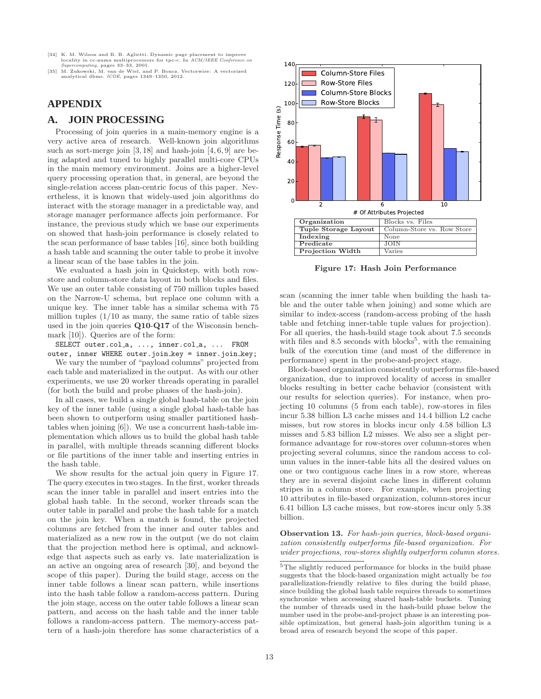- [34] K. M. Wilson and B. B. Aglietti. Dynamic page placement to improve<br>locality in cc-numa multiprocessors for tpc-c. In ACM/IEEE Conference on<br>Supercomputing, pages 33–33, 2001.
- [35] M. Zukowski, M. van de Wiel, and P. Boncz. Vectorwise: A vectorized analytical dbms. *ICDE*, pages 1349–1350, 2012.

# **APPENDIX**

# **A. JOIN PROCESSING**

Processing of join queries in a main-memory engine is a very active area of research. Well-known join algorithms such as sort-merge join  $[3, 18]$  and hash-join  $[4, 6, 9]$  are being adapted and tuned to highly parallel multi-core CPUs in the main memory environment. Joins are a higher-level query processing operation that, in general, are beyond the single-relation access plan-centric focus of this paper. Nevertheless, it is known that widely-used join algorithms do interact with the storage manager in a predictable way, and storage manager performance affects join performance. For instance, the previous study which we base our experiments on showed that hash-join performance is closely related to the scan performance of base tables [16], since both building a hash table and scanning the outer table to probe it involve a linear scan of the base tables in the join.

We evaluated a hash join in Quickstep, with both rowstore and column-store data layout in both blocks and files. We use an outer table consisting of 750 million tuples based on the Narrow-U schema, but replace one column with a unique key. The inner table has a similar schema with 75 million tuples  $(1/10$  as many, the same ratio of table sizes used in the join queries Q10-Q17 of the Wisconsin benchmark [10]). Queries are of the form:

SELECT outer.col\_a, ..., inner.col\_a, ... FROM outer, inner WHERE outer.join key = inner.join key;

We vary the number of "payload columns" projected from each table and materialized in the output. As with our other experiments, we use 20 worker threads operating in parallel (for both the build and probe phases of the hash-join).

In all cases, we build a single global hash-table on the join key of the inner table (using a single global hash-table has been shown to outperform using smaller partitioned hashtables when joining [6]). We use a concurrent hash-table implementation which allows us to build the global hash table in parallel, with multiple threads scanning different blocks or file partitions of the inner table and inserting entries in the hash table.

We show results for the actual join query in Figure 17. The query executes in two stages. In the first, worker threads scan the inner table in parallel and insert entries into the global hash table. In the second, worker threads scan the outer table in parallel and probe the hash table for a match on the join key. When a match is found, the projected columns are fetched from the inner and outer tables and materialized as a new row in the output (we do not claim that the projection method here is optimal, and acknowledge that aspects such as early vs. late materialization is an active an ongoing area of research [30], and beyond the scope of this paper). During the build stage, access on the inner table follows a linear scan pattern, while insertions into the hash table follow a random-access pattern. During the join stage, access on the outer table follows a linear scan pattern, and access on the hash table and the inner table follows a random-access pattern. The memory-access pattern of a hash-join therefore has some characteristics of a



Figure 17: Hash Join Performance

scan (scanning the inner table when building the hash table and the outer table when joining) and some which are similar to index-access (random-access probing of the hash table and fetching inner-table tuple values for projection). For all queries, the hash-build stage took about 7.5 seconds with files and  $8.5$  seconds with blocks<sup>5</sup>, with the remaining bulk of the execution time (and most of the difference in performance) spent in the probe-and-project stage.

Block-based organization consistently outperforms file-based organization, due to improved locality of access in smaller blocks resulting in better cache behavior (consistent with our results for selection queries). For instance, when projecting 10 columns (5 from each table), row-stores in files incur 5.38 billion L3 cache misses and 14.4 billion L2 cache misses, but row stores in blocks incur only 4.58 billion L3 misses and 5.83 billion L2 misses. We also see a slight performance advantage for row-stores over column-stores when projecting several columns, since the random access to column values in the inner-table hits all the desired values on one or two contiguous cache lines in a row store, whereas they are in several disjoint cache lines in different column stripes in a column store. For example, when projecting 10 attributes in file-based organization, column-stores incur 6.41 billion L3 cache misses, but row-stores incur only 5.38 billion.

Observation 13. For hash-join queries, block-based organization consistently outperforms file-based organization. For wider projections, row-stores slightly outperform column stores.

 ${}^{5}{\rm The}$  slightly reduced performance for blocks in the build phase suggests that the block-based organization might actually be too parallelization-friendly relative to files during the build phase, since building the global hash table requires threads to sometimes synchronize when accessing shared hash-table buckets. Tuning the number of threads used in the hash-build phase below the number used in the probe-and-project phase is an interesting possible optimization, but general hash-join algorithm tuning is a broad area of research beyond the scope of this paper.